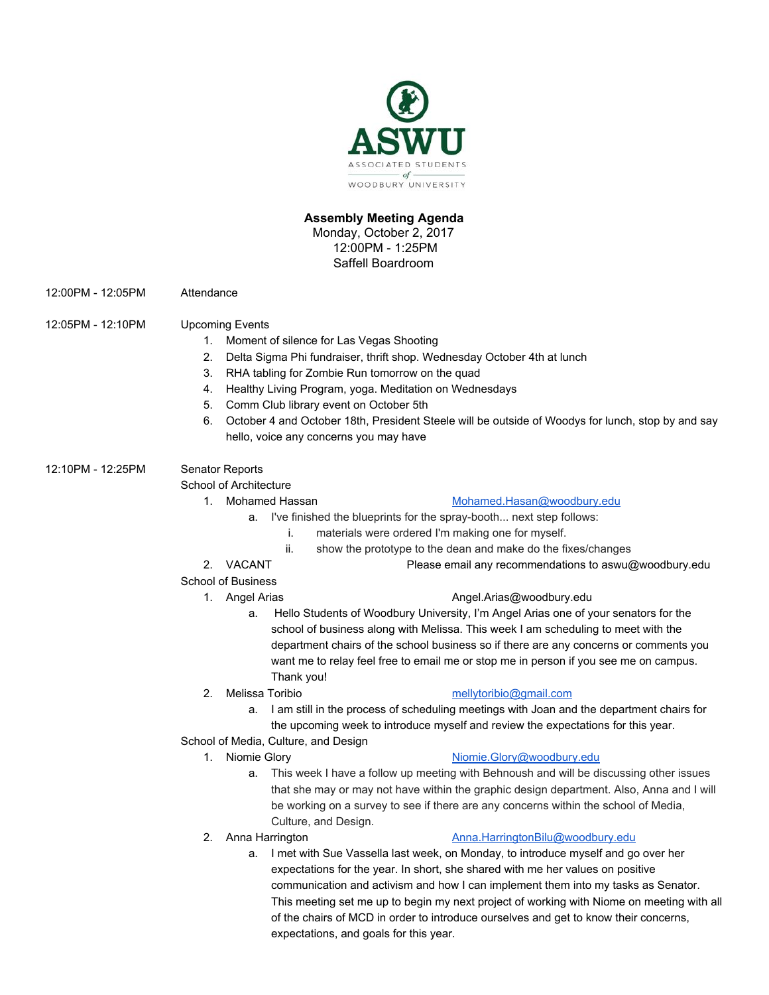

# **Assembly Meeting Agenda**

Monday, October 2, 2017 12:00PM - 1:25PM Saffell Boardroom

- 12:00PM 12:05PM Attendance
- 12:05PM 12:10PM Upcoming Events
	- 1. Moment of silence for Las Vegas Shooting
	- 2. Delta Sigma Phi fundraiser, thrift shop. Wednesday October 4th at lunch
	- 3. RHA tabling for Zombie Run tomorrow on the quad
	- 4. Healthy Living Program, yoga. Meditation on Wednesdays
	- 5. Comm Club library event on October 5th
	- 6. October 4 and October 18th, President Steele will be outside of Woodys for lunch, stop by and say hello, voice any concerns you may have

# 12:10PM - 12:25PM Senator Reports

School of Architecture

# 1. Mohamed Hassan [Mohamed.Hasan@woodbury.edu](mailto:Mohamed.Hasan@woodbury.edu)

- a. I've finished the blueprints for the spray-booth... next step follows:
	- i. materials were ordered I'm making one for myself.
		- ii. show the prototype to the dean and make do the fixes/changes
- 2. VACANT Please email any recommendations to aswu@woodbury.edu
- School of Business

### 1. Angel Arias **[Angel.Arias@woodbury.edu](mailto:Angel.Arias@woodbury.edu)**

- a. Hello Students of Woodbury University, I'm Angel Arias one of your senators for the school of business along with Melissa. This week I am scheduling to meet with the department chairs of the school business so if there are any concerns or comments you want me to relay feel free to email me or stop me in person if you see me on campus. Thank you!
- 

# 2. Melissa Toribio [mellytoribio@gmail.com](mailto:mellytoribio@gmail.com)

- a. I am still in the process of scheduling meetings with Joan and the department chairs for the upcoming week to introduce myself and review the expectations for this year.
- School of Media, Culture, and Design
	-

# 1. Niomie Glory **[Niomie.Glory@woodbury.edu](mailto:Niomie.Glory@woodbury.edu)**

- a. This week I have a follow up meeting with Behnoush and will be discussing other issues that she may or may not have within the graphic design department. Also, Anna and I will be working on a survey to see if there are any concerns within the school of Media, Culture, and Design.
- 

# 2. Anna Harrington **[Anna.HarringtonBilu@woodbury.edu](mailto:Anna.HarringtonBilu@woodbury.edu)**

a. I met with Sue Vassella last week, on Monday, to introduce myself and go over her expectations for the year. In short, she shared with me her values on positive communication and activism and how I can implement them into my tasks as Senator. This meeting set me up to begin my next project of working with Niome on meeting with all of the chairs of MCD in order to introduce ourselves and get to know their concerns, expectations, and goals for this year.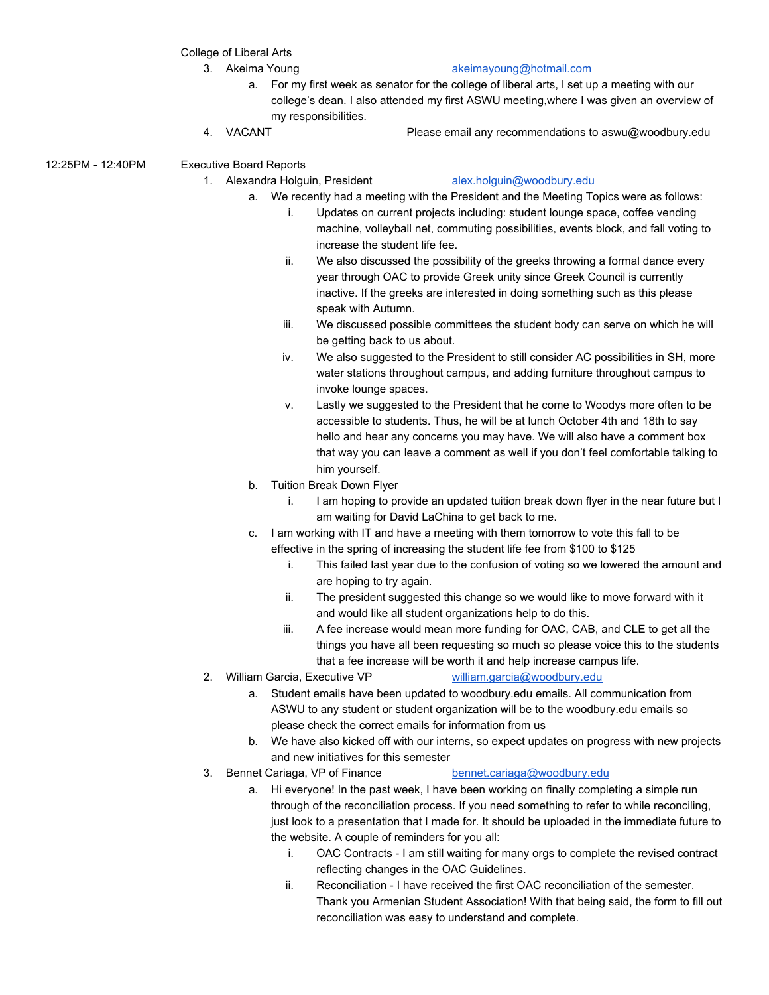College of Liberal Arts

# 3. Akeima Young [akeimayoung@hotmail.com](mailto:akeimayoung@hotmail.com)

- a. For my first week as senator for the college of liberal arts, I set up a meeting with our college's dean. I also attended my first ASWU meeting,where I was given an overview of my responsibilities.
- 
- 4. VACANT Please email any recommendations to aswu@woodbury.edu

12:25PM - 12:40PM Executive Board Reports

### 1. Alexandra Holguin, President [alex.holguin@woodbury.edu](mailto:alex.holguin@woodbury.edu)

- a. We recently had a meeting with the President and the Meeting Topics were as follows:
	- i. Updates on current projects including: student lounge space, coffee vending machine, volleyball net, commuting possibilities, events block, and fall voting to increase the student life fee.
	- ii. We also discussed the possibility of the greeks throwing a formal dance every year through OAC to provide Greek unity since Greek Council is currently inactive. If the greeks are interested in doing something such as this please speak with Autumn.
	- iii. We discussed possible committees the student body can serve on which he will be getting back to us about.
	- iv. We also suggested to the President to still consider AC possibilities in SH, more water stations throughout campus, and adding furniture throughout campus to invoke lounge spaces.
	- v. Lastly we suggested to the President that he come to Woodys more often to be accessible to students. Thus, he will be at lunch October 4th and 18th to say hello and hear any concerns you may have. We will also have a comment box that way you can leave a comment as well if you don't feel comfortable talking to him yourself.
- b. Tuition Break Down Flyer
	- i. I am hoping to provide an updated tuition break down flyer in the near future but I am waiting for David LaChina to get back to me.
- c. I am working with IT and have a meeting with them tomorrow to vote this fall to be effective in the spring of increasing the student life fee from \$100 to \$125
	- i. This failed last year due to the confusion of voting so we lowered the amount and are hoping to try again.
	- ii. The president suggested this change so we would like to move forward with it and would like all student organizations help to do this.
	- iii. A fee increase would mean more funding for OAC, CAB, and CLE to get all the things you have all been requesting so much so please voice this to the students that a fee increase will be worth it and help increase campus life.
- 2. William Garcia, Executive VP [william.garcia@woodbury.edu](mailto:william.garcia@woodbury.edu)
	- a. Student emails have been updated to woodbury.edu emails. All communication from ASWU to any student or student organization will be to the woodbury.edu emails so please check the correct emails for information from us
	- b. We have also kicked off with our interns, so expect updates on progress with new projects and new initiatives for this semester
- 3. Bennet Cariaga, VP of Finance [bennet.cariaga@woodbury.edu](mailto:bennet.cariaga@woodbury.edu)

- a. Hi everyone! In the past week, I have been working on finally completing a simple run through of the reconciliation process. If you need something to refer to while reconciling, just look to a presentation that I made for. It should be uploaded in the immediate future to the website. A couple of reminders for you all:
	- i. OAC Contracts I am still waiting for many orgs to complete the revised contract reflecting changes in the OAC Guidelines.
	- ii. Reconciliation I have received the first OAC reconciliation of the semester. Thank you Armenian Student Association! With that being said, the form to fill out reconciliation was easy to understand and complete.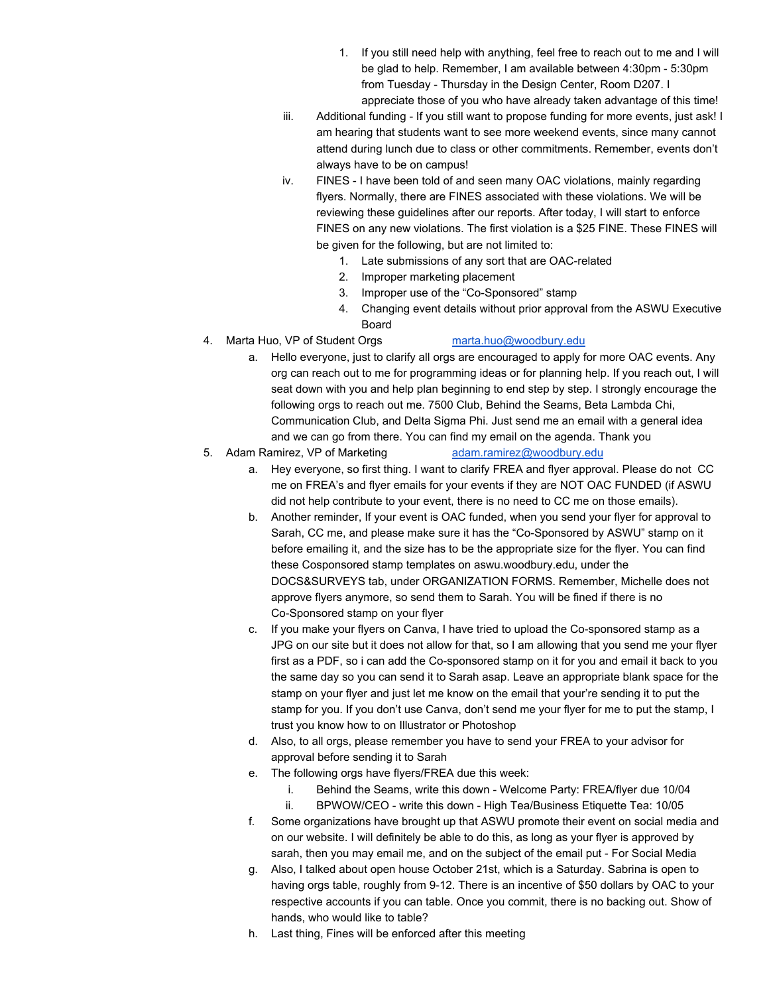- 1. If you still need help with anything, feel free to reach out to me and I will be glad to help. Remember, I am available between 4:30pm - 5:30pm from Tuesday - Thursday in the Design Center, Room D207. I appreciate those of you who have already taken advantage of this time!
- iii. Additional funding If you still want to propose funding for more events, just ask! I am hearing that students want to see more weekend events, since many cannot attend during lunch due to class or other commitments. Remember, events don't always have to be on campus!
- iv. FINES I have been told of and seen many OAC violations, mainly regarding flyers. Normally, there are FINES associated with these violations. We will be reviewing these guidelines after our reports. After today, I will start to enforce FINES on any new violations. The first violation is a \$25 FINE. These FINES will be given for the following, but are not limited to:
	- 1. Late submissions of any sort that are OAC-related
	- 2. Improper marketing placement
	- 3. Improper use of the "Co-Sponsored" stamp
	- 4. Changing event details without prior approval from the ASWU Executive Board
- 4. Marta Huo, VP of Student Orgs [marta.huo@woodbury.edu](mailto:marta.huo@woodbury.edu)

- a. Hello everyone, just to clarify all orgs are encouraged to apply for more OAC events. Any org can reach out to me for programming ideas or for planning help. If you reach out, I will seat down with you and help plan beginning to end step by step. I strongly encourage the following orgs to reach out me. 7500 Club, Behind the Seams, Beta Lambda Chi, Communication Club, and Delta Sigma Phi. Just send me an email with a general idea and we can go from there. You can find my email on the agenda. Thank you
- 5. Adam Ramirez, VP of Marketing [adam.ramirez@woodbury.edu](mailto:adam.ramirez@woodbury.edu)
	- a. Hey everyone, so first thing. I want to clarify FREA and flyer approval. Please do not CC me on FREA's and flyer emails for your events if they are NOT OAC FUNDED (if ASWU did not help contribute to your event, there is no need to CC me on those emails).
	- b. Another reminder, If your event is OAC funded, when you send your flyer for approval to Sarah, CC me, and please make sure it has the "Co-Sponsored by ASWU" stamp on it before emailing it, and the size has to be the appropriate size for the flyer. You can find these Cosponsored stamp templates on aswu.woodbury.edu, under the DOCS&SURVEYS tab, under ORGANIZATION FORMS. Remember, Michelle does not approve flyers anymore, so send them to Sarah. You will be fined if there is no Co-Sponsored stamp on your flyer
	- c. If you make your flyers on Canva, I have tried to upload the Co-sponsored stamp as a JPG on our site but it does not allow for that, so I am allowing that you send me your flyer first as a PDF, so i can add the Co-sponsored stamp on it for you and email it back to you the same day so you can send it to Sarah asap. Leave an appropriate blank space for the stamp on your flyer and just let me know on the email that your're sending it to put the stamp for you. If you don't use Canva, don't send me your flyer for me to put the stamp, I trust you know how to on Illustrator or Photoshop
	- d. Also, to all orgs, please remember you have to send your FREA to your advisor for approval before sending it to Sarah
	- e. The following orgs have flyers/FREA due this week:
		- i. Behind the Seams, write this down Welcome Party: FREA/flyer due 10/04
		- ii. BPWOW/CEO write this down High Tea/Business Etiquette Tea: 10/05
	- f. Some organizations have brought up that ASWU promote their event on social media and on our website. I will definitely be able to do this, as long as your flyer is approved by sarah, then you may email me, and on the subject of the email put - For Social Media
	- g. Also, I talked about open house October 21st, which is a Saturday. Sabrina is open to having orgs table, roughly from 9-12. There is an incentive of \$50 dollars by OAC to your respective accounts if you can table. Once you commit, there is no backing out. Show of hands, who would like to table?
	- h. Last thing, Fines will be enforced after this meeting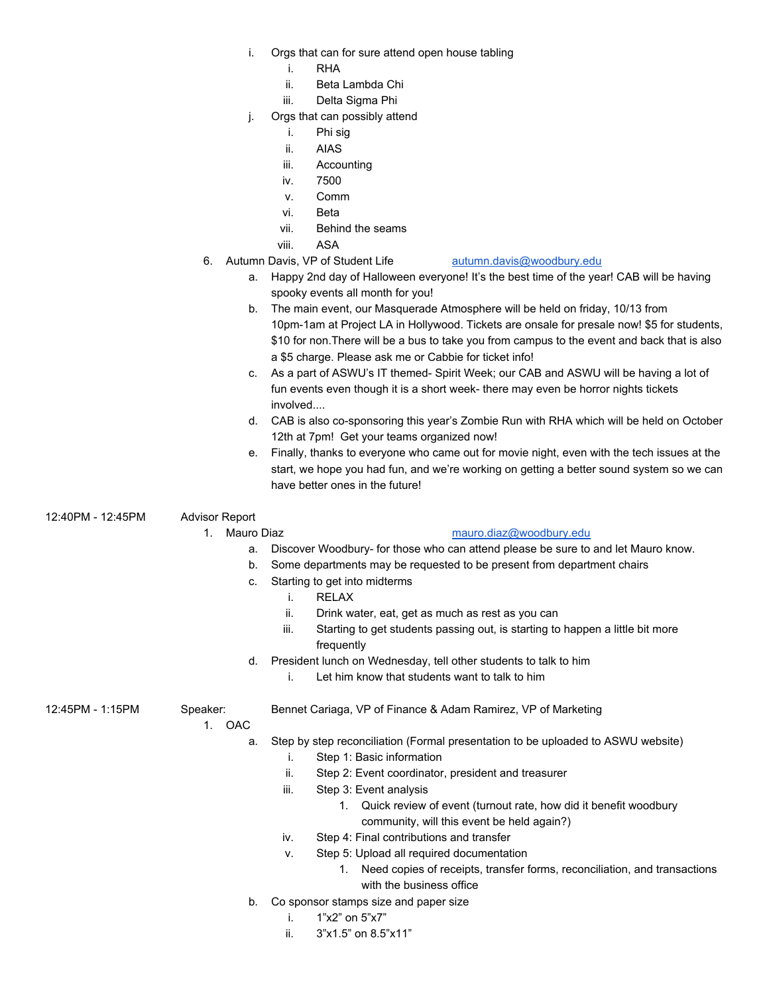- i. Orgs that can for sure attend open house tabling
	- i. RHA
	- ii. Beta Lambda Chi
	- iii. Delta Sigma Phi
- j. Orgs that can possibly attend
	- i. Phi sig
	- ii. AIAS
	- iii. Accounting
	- iv. 7500
	- v. Comm
	- vi. Beta
	- vii. Behind the seams
	- viii. ASA
- 6. Autumn Davis, VP of Student Life [autumn.davis@woodbury.edu](mailto:autumn.davis@woodbury.edu)
	- a. Happy 2nd day of Halloween everyone! It's the best time of the year! CAB will be having spooky events all month for you!
	- b. The main event, our Masquerade Atmosphere will be held on friday, 10/13 from 10pm-1am at Project LA in Hollywood. Tickets are onsale for presale now! \$5 for students, \$10 for non.There will be a bus to take you from campus to the event and back that is also a \$5 charge. Please ask me or Cabbie for ticket info!
	- c. As a part of ASWU's IT themed- Spirit Week; our CAB and ASWU will be having a lot of fun events even though it is a short week- there may even be horror nights tickets involved....
	- d. CAB is also co-sponsoring this year's Zombie Run with RHA which will be held on October 12th at 7pm! Get your teams organized now!
	- e. Finally, thanks to everyone who came out for movie night, even with the tech issues at the start, we hope you had fun, and we're working on getting a better sound system so we can have better ones in the future!

12:40PM - 12:45PM Advisor Report

# 1. Mauro Diaz [mauro.diaz@woodbury.edu](mailto:mauro.diaz@woodbury.edu)

- a. Discover Woodbury- for those who can attend please be sure to and let Mauro know.
- b. Some departments may be requested to be present from department chairs
- c. Starting to get into midterms
	- i. RELAX
	- ii. Drink water, eat, get as much as rest as you can
	- iii. Starting to get students passing out, is starting to happen a little bit more frequently
- d. President lunch on Wednesday, tell other students to talk to him i. Let him know that students want to talk to him
	-

12:45PM - 1:15PM Speaker: Bennet Cariaga, VP of Finance & Adam Ramirez, VP of Marketing

1. OAC

- a. Step by step reconciliation (Formal presentation to be uploaded to ASWU website)
	- i. Step 1: Basic information
	- ii. Step 2: Event coordinator, president and treasurer
	- iii. Step 3: Event analysis
		- 1. Quick review of event (turnout rate, how did it benefit woodbury community, will this event be held again?)
	- iv. Step 4: Final contributions and transfer
	- v. Step 5: Upload all required documentation
		- 1. Need copies of receipts, transfer forms, reconciliation, and transactions with the business office
- b. Co sponsor stamps size and paper size
	- i. 1"x2" on 5"x7"
	- ii. 3"x1.5" on 8.5"x11"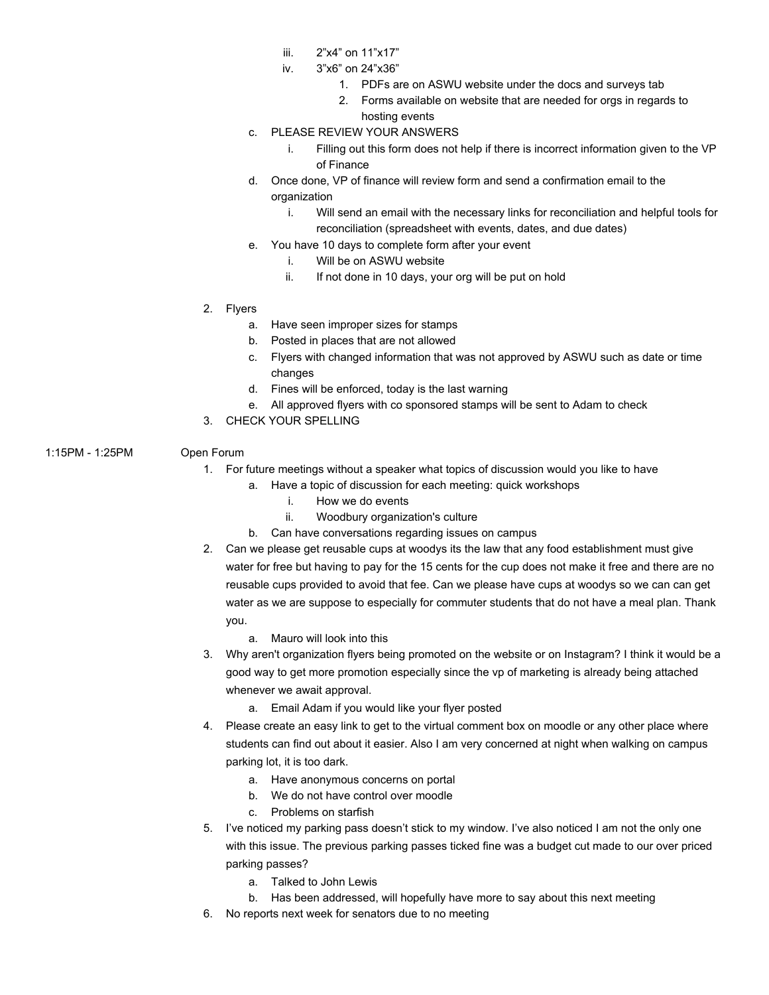- iii. 2"x4" on 11"x17"
- iv. 3"x6" on 24"x36"
	- 1. PDFs are on ASWU website under the docs and surveys tab
	- 2. Forms available on website that are needed for orgs in regards to hosting events
- c. PLEASE REVIEW YOUR ANSWERS
	- i. Filling out this form does not help if there is incorrect information given to the VP of Finance
- d. Once done, VP of finance will review form and send a confirmation email to the organization
	- i. Will send an email with the necessary links for reconciliation and helpful tools for reconciliation (spreadsheet with events, dates, and due dates)
- e. You have 10 days to complete form after your event
	- i. Will be on ASWU website
	- ii. If not done in 10 days, your org will be put on hold
- 2. Flyers
	- a. Have seen improper sizes for stamps
	- b. Posted in places that are not allowed
	- c. Flyers with changed information that was not approved by ASWU such as date or time changes
	- d. Fines will be enforced, today is the last warning
	- e. All approved flyers with co sponsored stamps will be sent to Adam to check
- 3. CHECK YOUR SPELLING
- 1:15PM 1:25PM Open Forum
	- - 1. For future meetings without a speaker what topics of discussion would you like to have
			- a. Have a topic of discussion for each meeting: quick workshops
				- i. How we do events
				- ii. Woodbury organization's culture
			- b. Can have conversations regarding issues on campus
		- 2. Can we please get reusable cups at woodys its the law that any food establishment must give water for free but having to pay for the 15 cents for the cup does not make it free and there are no reusable cups provided to avoid that fee. Can we please have cups at woodys so we can can get water as we are suppose to especially for commuter students that do not have a meal plan. Thank you.
			- a. Mauro will look into this
		- 3. Why aren't organization flyers being promoted on the website or on Instagram? I think it would be a good way to get more promotion especially since the vp of marketing is already being attached whenever we await approval.
			- a. Email Adam if you would like your flyer posted
		- 4. Please create an easy link to get to the virtual comment box on moodle or any other place where students can find out about it easier. Also I am very concerned at night when walking on campus parking lot, it is too dark.
			- a. Have anonymous concerns on portal
			- b. We do not have control over moodle
			- c. Problems on starfish
		- 5. I've noticed my parking pass doesn't stick to my window. I've also noticed I am not the only one with this issue. The previous parking passes ticked fine was a budget cut made to our over priced parking passes?
			- a. Talked to John Lewis
			- b. Has been addressed, will hopefully have more to say about this next meeting
		- 6. No reports next week for senators due to no meeting